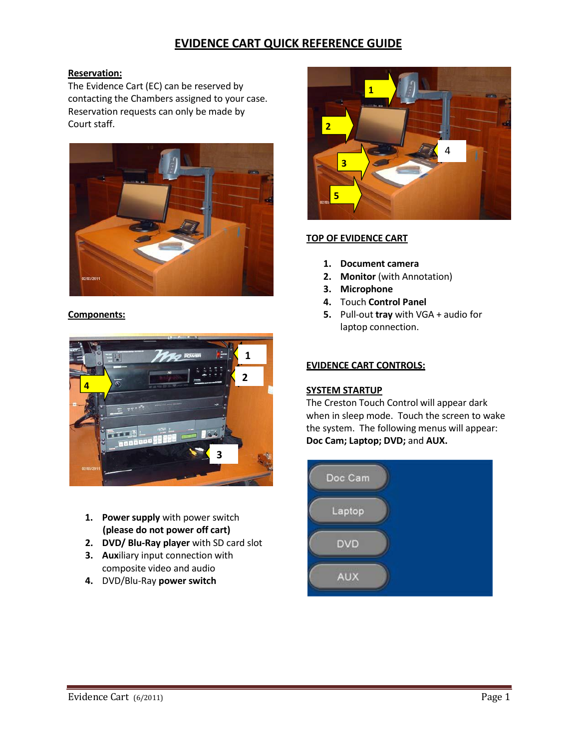# **EVIDENCE CART QUICK REFERENCE GUIDE**

## **Reservation:**

The Evidence Cart (EC) can be reserved by contacting the Chambers assigned to your case. Reservation requests can only be made by Court staff.



#### **Components:**



- **1. Power supply** with power switch **(please do not power off cart)**
- **2. DVD/ Blu-Ray player** with SD card slot
- **3. Aux**iliary input connection with composite video and audio
- **4.** DVD/Blu-Ray **power switch**



## **TOP OF EVIDENCE CART**

- **1. Document camera**
- **2. Monitor** (with Annotation)
- **3. Microphone**
- **4.** Touch **Control Panel**
- **5.** Pull-out **tray** with VGA + audio for laptop connection.

#### **EVIDENCE CART CONTROLS:**

#### **SYSTEM STARTUP**

The Creston Touch Control will appear dark when in sleep mode. Touch the screen to wake the system. The following menus will appear: **Doc Cam; Laptop; DVD;** and **AUX.**

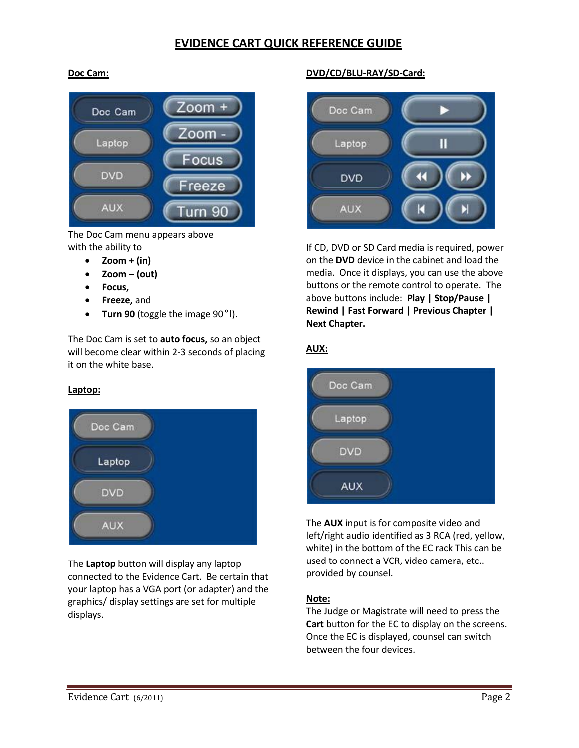## **EVIDENCE CART QUICK REFERENCE GUIDE**

## **Doc Cam:**



The Doc Cam menu appears above with the ability to

- $\bullet$  **Zoom** + (in)
- **Zoom – (out)**
- **Focus,**
- **Freeze,** and
- **Turn 90** (toggle the image 90°l).

The Doc Cam is set to **auto focus,** so an object will become clear within 2-3 seconds of placing it on the white base.

#### **Laptop:**



The **Laptop** button will display any laptop connected to the Evidence Cart. Be certain that your laptop has a VGA port (or adapter) and the graphics/ display settings are set for multiple displays.

## **DVD/CD/BLU-RAY/SD-Card:**



If CD, DVD or SD Card media is required, power on the **DVD** device in the cabinet and load the media. Once it displays, you can use the above buttons or the remote control to operate. The above buttons include: **Play | Stop/Pause | Rewind | Fast Forward | Previous Chapter | Next Chapter.**

## **AUX:**



The **AUX** input is for composite video and left/right audio identified as 3 RCA (red, yellow, white) in the bottom of the EC rack This can be used to connect a VCR, video camera, etc.. provided by counsel.

#### **Note:**

The Judge or Magistrate will need to press the **Cart** button for the EC to display on the screens. Once the EC is displayed, counsel can switch between the four devices.